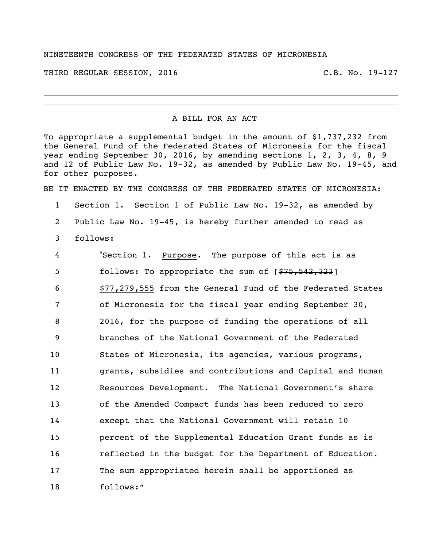## NINETEENTH CONGRESS OF THE FEDERATED STATES OF MICRONESIA

THIRD REGULAR SESSION, 2016 C.B. No. 19-127

## A BILL FOR AN ACT

To appropriate a supplemental budget in the amount of \$1,737,232 from the General Fund of the Federated States of Micronesia for the fiscal year ending September 30, 2016, by amending sections 1, 2, 3, 4, 8, 9 and 12 of Public Law No. 19-32, as amended by Public Law No. 19-45, and for other purposes.

BE IT ENACTED BY THE CONGRESS OF THE FEDERATED STATES OF MICRONESIA:

 Section 1. Section 1 of Public Law No. 19-32, as amended by Public Law No. 19-45, is hereby further amended to read as follows:

 "Section 1. Purpose. The purpose of this act is as 5 follows: To appropriate the sum of  $[$75,542,323]$  \$77,279,555 from the General Fund of the Federated States of Micronesia for the fiscal year ending September 30, 2016, for the purpose of funding the operations of all branches of the National Government of the Federated States of Micronesia, its agencies, various programs, grants, subsidies and contributions and Capital and Human Resources Development. The National Government's share of the Amended Compact funds has been reduced to zero except that the National Government will retain 10 percent of the Supplemental Education Grant funds as is reflected in the budget for the Department of Education. The sum appropriated herein shall be apportioned as follows:"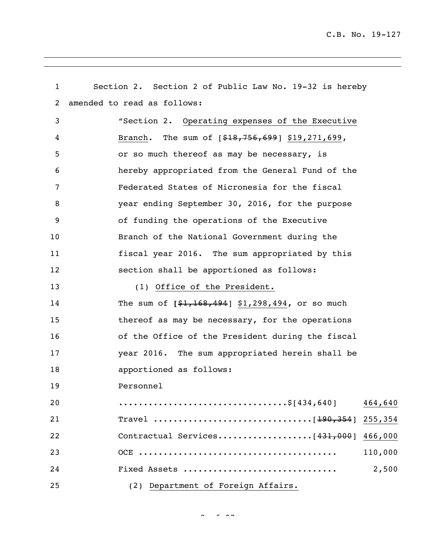| $\mathbf{1}$ | Section 2. Section 2 of Public Law No. 19-32 is hereby |
|--------------|--------------------------------------------------------|
| 2            | amended to read as follows:                            |
| 3            | "Section 2. Operating expenses of the Executive        |
| 4            | Branch. The sum of $[$18,756,699]$ \$19,271,699,       |
| 5            | or so much thereof as may be necessary, is             |
| 6            | hereby appropriated from the General Fund of the       |
| 7            | Federated States of Micronesia for the fiscal          |
| 8            | year ending September 30, 2016, for the purpose        |
| 9            | of funding the operations of the Executive             |
| 10           | Branch of the National Government during the           |
| 11           | fiscal year 2016. The sum appropriated by this         |
| 12           | section shall be apportioned as follows:               |
| 13           | (1) Office of the President.                           |
| 14           | The sum of $[$1,168,494]$ \$1,298,494, or so much      |
| 15           | thereof as may be necessary, for the operations        |
| 16           | of the Office of the President during the fiscal       |
| 17           | year 2016. The sum appropriated herein shall be        |
| 18           | apportioned as follows:                                |
| 19           | Personnel                                              |
| 20           | 464,640                                                |
| 21           | Travel [190,354] 255,354                               |
| 22           | Contractual Services[431,000] 466,000                  |
| 23           | 110,000                                                |
| 24           | 2,500<br>Fixed Assets                                  |
| 25           | (2) Department of Foreign Affairs.                     |

 $2 \times 27$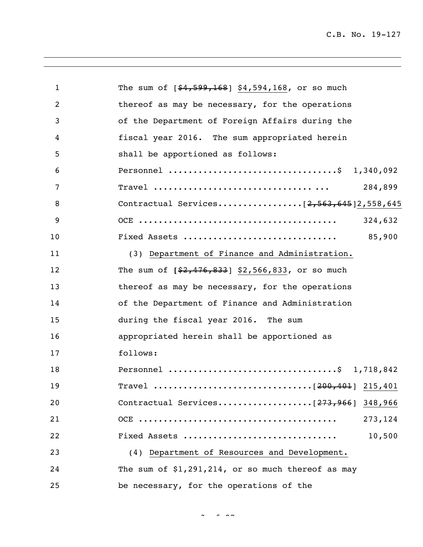| $\mathbf{1}$ | The sum of $[$4,599,168]$ \$4,594,168, or so much   |
|--------------|-----------------------------------------------------|
| 2            | thereof as may be necessary, for the operations     |
| 3            | of the Department of Foreign Affairs during the     |
| 4            | fiscal year 2016. The sum appropriated herein       |
| 5            | shall be apportioned as follows:                    |
| 6            | Personnel \$ 1,340,092                              |
| 7            | 284,899                                             |
| 8            |                                                     |
| 9            | 324,632                                             |
| 10           | 85,900<br>Fixed Assets                              |
| 11           | (3) Department of Finance and Administration.       |
| 12           | The sum of $[$2,476,833]$ \$2,566,833, or so much   |
| 13           | thereof as may be necessary, for the operations     |
| 14           | of the Department of Finance and Administration     |
| 15           | during the fiscal year 2016. The sum                |
| 16           | appropriated herein shall be apportioned as         |
| 17           | follows:                                            |
| 18           | Personnel \$ 1,718,842                              |
| 19           |                                                     |
| 20           |                                                     |
| 21           | 273, 124                                            |
| 22           | Fixed Assets<br>10,500                              |
| 23           | (4) Department of Resources and Development.        |
| 24           | The sum of $$1,291,214$ , or so much thereof as may |
| 25           | be necessary, for the operations of the             |

 $3<sup>2</sup>$  of  $2<sup>2</sup>$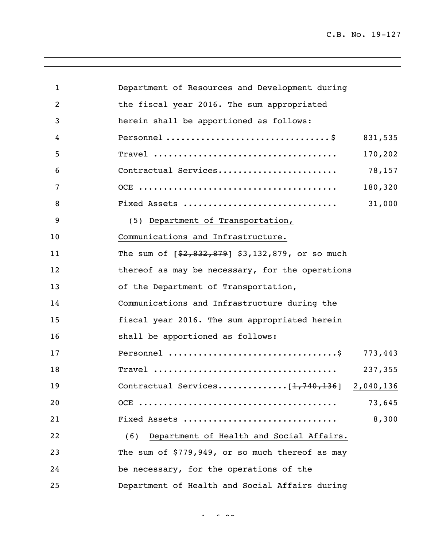| 1  | Department of Resources and Development during    |         |
|----|---------------------------------------------------|---------|
| 2  | the fiscal year 2016. The sum appropriated        |         |
| 3  | herein shall be apportioned as follows:           |         |
| 4  |                                                   | 831,535 |
| 5  |                                                   | 170,202 |
| 6  | Contractual Services                              | 78,157  |
| 7  |                                                   | 180,320 |
| 8  | Fixed Assets                                      | 31,000  |
| 9  | (5) Department of Transportation,                 |         |
| 10 | Communications and Infrastructure.                |         |
| 11 | The sum of $[$2,832,879]$ \$3,132,879, or so much |         |
| 12 | thereof as may be necessary, for the operations   |         |
| 13 | of the Department of Transportation,              |         |
| 14 | Communications and Infrastructure during the      |         |
| 15 | fiscal year 2016. The sum appropriated herein     |         |
| 16 | shall be apportioned as follows:                  |         |
| 17 |                                                   | 773,443 |
| 18 |                                                   | 237,355 |
| 19 | Contractual Services $[1, 740, 136]$ 2,040,136    |         |
| 20 |                                                   | 73,645  |
| 21 | Fixed Assets                                      | 8,300   |
| 22 | Department of Health and Social Affairs.<br>(6)   |         |
| 23 | The sum of \$779,949, or so much thereof as may   |         |
| 24 | be necessary, for the operations of the           |         |
| 25 | Department of Health and Social Affairs during    |         |

 $4 - 27$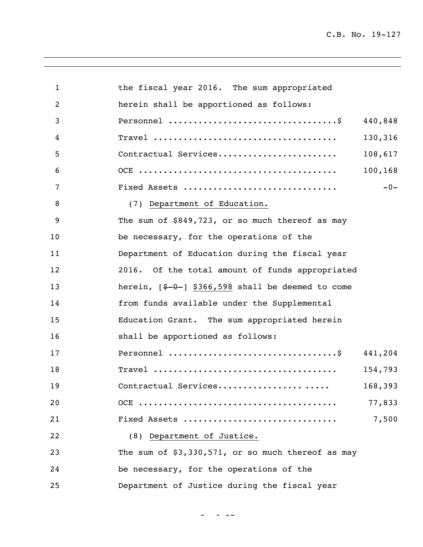| 1  | the fiscal year 2016. The sum appropriated          |         |
|----|-----------------------------------------------------|---------|
| 2  | herein shall be apportioned as follows:             |         |
| 3  |                                                     | 440,848 |
| 4  |                                                     | 130,316 |
| 5  | Contractual Services                                | 108,617 |
| 6  |                                                     | 100,168 |
| 7  | Fixed Assets                                        | $-0-$   |
| 8  | (7) Department of Education.                        |         |
| 9  | The sum of \$849,723, or so much thereof as may     |         |
| 10 | be necessary, for the operations of the             |         |
| 11 | Department of Education during the fiscal year      |         |
| 12 | 2016. Of the total amount of funds appropriated     |         |
| 13 | herein, $[4-0-]$ \$366,598 shall be deemed to come  |         |
| 14 | from funds available under the Supplemental         |         |
| 15 | Education Grant. The sum appropriated herein        |         |
| 16 | shall be apportioned as follows:                    |         |
| 17 |                                                     | 441,204 |
| 18 |                                                     | 154,793 |
| 19 | Contractual Services                                | 168,393 |
| 20 |                                                     | 77,833  |
| 21 | Fixed Assets                                        | 7,500   |
| 22 | (8) Department of Justice.                          |         |
| 23 | The sum of $$3,330,571$ , or so much thereof as may |         |
| 24 | be necessary, for the operations of the             |         |
| 25 | Department of Justice during the fiscal year        |         |

 $\frac{1}{2}$  of  $\frac{1}{2}$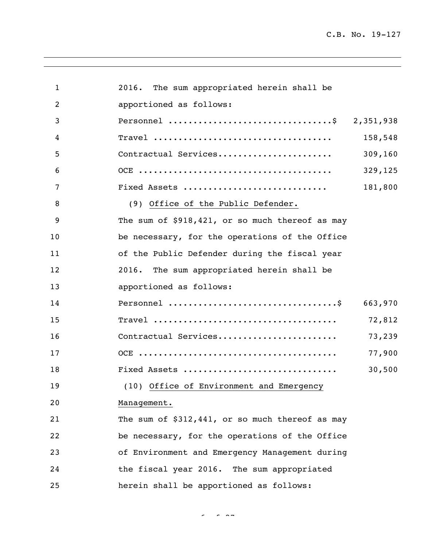| $\mathbf{1}$ | 2016. The sum appropriated herein shall be      |         |
|--------------|-------------------------------------------------|---------|
| 2            | apportioned as follows:                         |         |
| 3            | Personnel \$ 2,351,938                          |         |
| 4            |                                                 | 158,548 |
| 5            | Contractual Services                            | 309,160 |
| 6            |                                                 | 329,125 |
| 7            | Fixed Assets                                    | 181,800 |
| 8            | (9) Office of the Public Defender.              |         |
| 9            | The sum of \$918,421, or so much thereof as may |         |
| 10           | be necessary, for the operations of the Office  |         |
| 11           | of the Public Defender during the fiscal year   |         |
| 12           | 2016. The sum appropriated herein shall be      |         |
| 13           | apportioned as follows:                         |         |
| 14           |                                                 | 663,970 |
| 15           |                                                 | 72,812  |
| 16           | Contractual Services                            | 73,239  |
| 17           |                                                 | 77,900  |
| 18           | Fixed Assets                                    | 30,500  |
| 19           | (10) Office of Environment and Emergency        |         |
| 20           | Management.                                     |         |
| 21           | The sum of \$312,441, or so much thereof as may |         |
| 22           | be necessary, for the operations of the Office  |         |
| 23           | of Environment and Emergency Management during  |         |
| 24           | the fiscal year 2016. The sum appropriated      |         |
| 25           | herein shall be apportioned as follows:         |         |

 $\sigma$   $\sim$   $\sigma$   $\sim$   $\sim$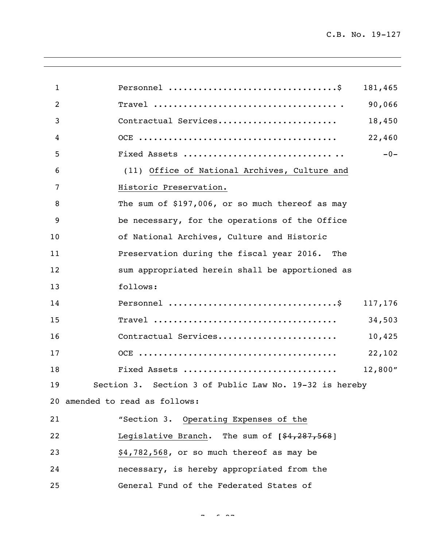| $\mathbf{1}$ | 181,465                                                |
|--------------|--------------------------------------------------------|
| 2            | 90,066                                                 |
| 3            | Contractual Services<br>18,450                         |
| 4            | 22,460                                                 |
| 5            | $-0-$                                                  |
| 6            | (11) Office of National Archives, Culture and          |
| 7            | Historic Preservation.                                 |
| 8            | The sum of \$197,006, or so much thereof as may        |
| 9            | be necessary, for the operations of the Office         |
| 10           | of National Archives, Culture and Historic             |
| 11           | Preservation during the fiscal year 2016. The          |
| 12           | sum appropriated herein shall be apportioned as        |
| 13           | follows:                                               |
| 14           | 117,176                                                |
| 15           | 34,503                                                 |
| 16           | Contractual Services<br>10,425                         |
| 17           | 22,102                                                 |
| 18           | Fixed Assets<br>12,800''                               |
| 19           | Section 3. Section 3 of Public Law No. 19-32 is hereby |
|              | 20 amended to read as follows:                         |
| 21           | "Section 3. Operating Expenses of the                  |
| 22           | Legislative Branch. The sum of [\$4,287,568]           |
| 23           | \$4,782,568, or so much thereof as may be              |
| 24           | necessary, is hereby appropriated from the             |
| 25           | General Fund of the Federated States of                |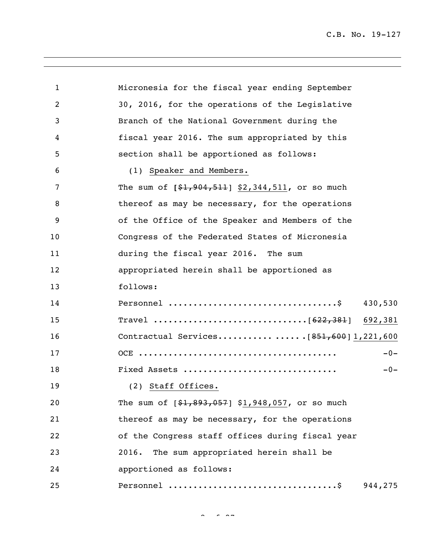| 1  | Micronesia for the fiscal year ending September   |
|----|---------------------------------------------------|
| 2  | 30, 2016, for the operations of the Legislative   |
| 3  | Branch of the National Government during the      |
| 4  | fiscal year 2016. The sum appropriated by this    |
| 5  | section shall be apportioned as follows:          |
| 6  | (1) Speaker and Members.                          |
| 7  | The sum of $[$1,904,511]$ \$2,344,511, or so much |
| 8  | thereof as may be necessary, for the operations   |
| 9  | of the Office of the Speaker and Members of the   |
| 10 | Congress of the Federated States of Micronesia    |
| 11 | during the fiscal year 2016. The sum              |
| 12 | appropriated herein shall be apportioned as       |
| 13 | follows:                                          |
| 14 | 430,530                                           |
| 15 |                                                   |
| 16 |                                                   |
| 17 | $-0-$                                             |
| 18 | Fixed Assets<br>$-0-$                             |
| 19 | (2) Staff Offices.                                |
| 20 | The sum of $[$1,893,057]$ \$1,948,057, or so much |
| 21 | thereof as may be necessary, for the operations   |
| 22 | of the Congress staff offices during fiscal year  |
| 23 | The sum appropriated herein shall be<br>2016.     |
| 24 | apportioned as follows:                           |
| 25 | 944,275                                           |

 $\sim$   $\sim$   $\sim$   $\sim$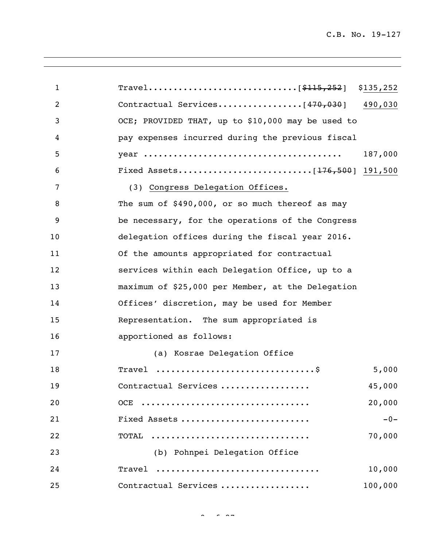| 1              |                                                                  | \$135,252 |
|----------------|------------------------------------------------------------------|-----------|
| $\overline{2}$ |                                                                  | 490,030   |
| 3              | OCE; PROVIDED THAT, up to \$10,000 may be used to                |           |
| 4              | pay expenses incurred during the previous fiscal                 |           |
| 5              |                                                                  | 187,000   |
| 6              |                                                                  |           |
| 7              | (3) Congress Delegation Offices.                                 |           |
| 8              | The sum of \$490,000, or so much thereof as may                  |           |
| 9              | be necessary, for the operations of the Congress                 |           |
| 10             | delegation offices during the fiscal year 2016.                  |           |
| 11             | Of the amounts appropriated for contractual                      |           |
| 12             | services within each Delegation Office, up to a                  |           |
| 13             | maximum of \$25,000 per Member, at the Delegation                |           |
| 14             | Offices' discretion, may be used for Member                      |           |
| 15             | Representation. The sum appropriated is                          |           |
| 16             | apportioned as follows:                                          |           |
| 17             | (a) Kosrae Delegation Office                                     |           |
| 18             | Travel $\dots\dots\dots\dots\dots\dots\dots\dots\dots\dots\dots$ | 5,000     |
| 19             | Contractual Services                                             | 45,000    |
| 20             | OCE                                                              | 20,000    |
| 21             | Fixed Assets                                                     | $-0-$     |
| 22             | TOTAL                                                            | 70,000    |
| 23             | (b) Pohnpei Delegation Office                                    |           |
| 24             | Travel                                                           | 10,000    |
| 25             | Contractual Services                                             | 100,000   |

 $\sim$   $\sim$   $\sim$   $\sim$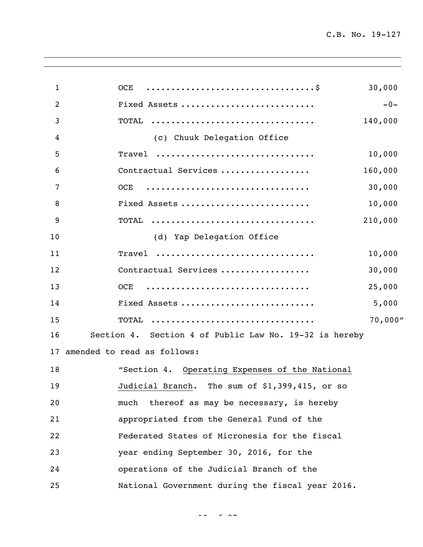| $\mathbf{1}$ | OCE                                                    | 30,000  |
|--------------|--------------------------------------------------------|---------|
| 2            | Fixed Assets                                           | $-0-$   |
| 3            | TOTAL                                                  | 140,000 |
| 4            | (c) Chuuk Delegation Office                            |         |
| 5            | Travel                                                 | 10,000  |
| 6            | Contractual Services                                   | 160,000 |
| 7            | <b>OCE</b>                                             | 30,000  |
| 8            | Fixed Assets                                           | 10,000  |
| 9            | TOTAL                                                  | 210,000 |
| 10           | (d) Yap Delegation Office                              |         |
| 11           | Travel                                                 | 10,000  |
| 12           | Contractual Services                                   | 30,000  |
| 13           | OCE                                                    | 25,000  |
| 14           | Fixed Assets                                           | 5,000   |
| 15           | TOTAL                                                  | 70,000" |
| 16           | Section 4. Section 4 of Public Law No. 19-32 is hereby |         |
|              | 17 amended to read as follows:                         |         |
| 18           | "Section 4. Operating Expenses of the National         |         |
| 19           | Judicial Branch. The sum of \$1,399,415, or so         |         |
| 20           | thereof as may be necessary, is hereby<br>much         |         |
| 21           | appropriated from the General Fund of the              |         |
| 22           | Federated States of Micronesia for the fiscal          |         |
| 23           | year ending September 30, 2016, for the                |         |
| 24           | operations of the Judicial Branch of the               |         |
| 25           | National Government during the fiscal year 2016.       |         |
|              |                                                        |         |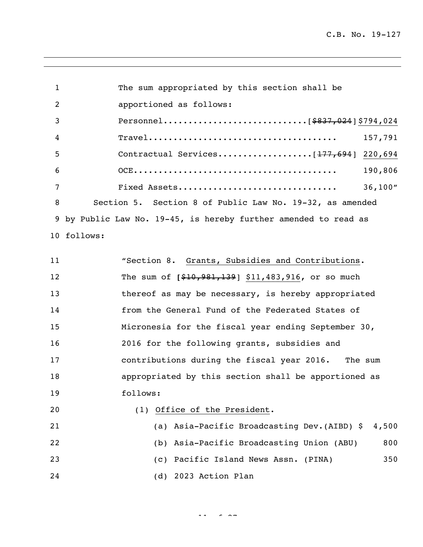| 1              | The sum appropriated by this section shall be                   |
|----------------|-----------------------------------------------------------------|
| 2              | apportioned as follows:                                         |
| 3              |                                                                 |
| $\overline{4}$ | 157,791                                                         |
| 5              | 220,694                                                         |
| 6              | 190,806                                                         |
| 7              | Fixed Assets<br>36,100"                                         |
| 8              | Section 5. Section 8 of Public Law No. 19-32, as amended        |
|                | 9 by Public Law No. 19-45, is hereby further amended to read as |
|                | 10 follows:                                                     |

11 "Section 8. Grants, Subsidies and Contributions. The sum of **[**\$10,981,139] \$11,483,916**,** or so much 13 thereof as may be necessary, is hereby appropriated from the General Fund of the Federated States of Micronesia for the fiscal year ending September 30, 2016 for the following grants, subsidies and contributions during the fiscal year 2016. The sum appropriated by this section shall be apportioned as follows: (1) Office of the President.

| 21 | (a) Asia-Pacific Broadcasting Dev. (AIBD) \$ 4,500 |     |
|----|----------------------------------------------------|-----|
| 22 | (b) Asia-Pacific Broadcasting Union (ABU)          | 800 |
| 23 | (c) Pacific Island News Assn. (PINA)               | 350 |
| 24 | (d) 2023 Action Plan                               |     |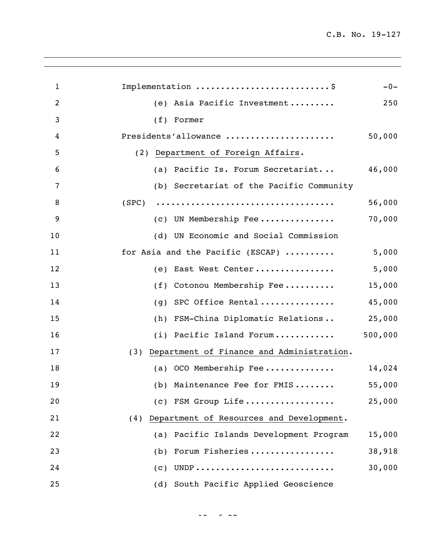| 1  | Implementation \$                               | $-0-$   |
|----|-------------------------------------------------|---------|
| 2  | Asia Pacific Investment<br>(e)                  | 250     |
| 3  | (f)<br>Former                                   |         |
| 4  | Presidents'allowance                            | 50,000  |
| 5  | (2) Department of Foreign Affairs.              |         |
| 6  | (a) Pacific Is. Forum Secretariat               | 46,000  |
| 7  | (b) Secretariat of the Pacific Community        |         |
| 8  | (SPC)                                           | 56,000  |
| 9  | (c) UN Membership Fee                           | 70,000  |
| 10 | (d) UN Economic and Social Commission           |         |
| 11 | for Asia and the Pacific (ESCAP)                | 5,000   |
| 12 | East West Center<br>(e)                         | 5,000   |
| 13 | Cotonou Membership Fee<br>(f)                   | 15,000  |
| 14 | SPC Office Rental<br>(q)                        | 45,000  |
| 15 | FSM-China Diplomatic Relations<br>(h)           | 25,000  |
| 16 | (i) Pacific Island Forum                        | 500,000 |
| 17 | (3) Department of Finance and Administration.   |         |
| 18 | (a) OCO Membership Fee                          | 14,024  |
| 19 | (b) Maintenance Fee for FMIS                    | 55,000  |
| 20 | (c) FSM Group Life                              | 25,000  |
| 21 | Department of Resources and Development.<br>(4) |         |
| 22 | (a) Pacific Islands Development Program         | 15,000  |
| 23 | Forum Fisheries<br>(b)                          | 38,918  |
| 24 | $\left( c\right)$                               | 30,000  |
| 25 | South Pacific Applied Geoscience<br>(d)         |         |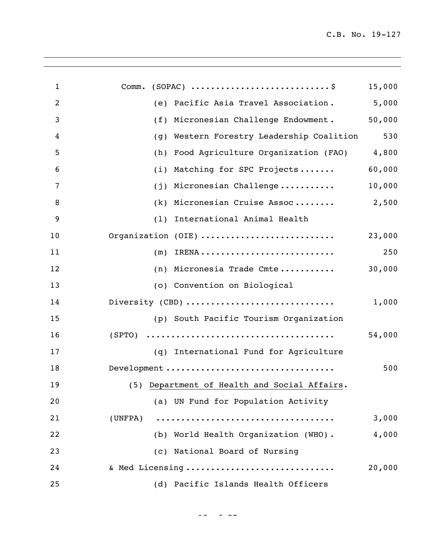| $\mathbf{1}$   | $(SOPAC)$ \$<br>Comm.                        | 15,000 |
|----------------|----------------------------------------------|--------|
| $\overline{c}$ | Pacific Asia Travel Association.<br>(e)      | 5,000  |
| 3              | Micronesian Challenge Endowment.<br>(f)      | 50,000 |
| 4              | Western Forestry Leadership Coalition<br>(g) | 530    |
| 5              | Food Agriculture Organization (FAO)<br>(h)   | 4,800  |
| 6              | Matching for SPC Projects<br>(i)             | 60,000 |
| 7              | Micronesian Challenge<br>(j)                 | 10,000 |
| 8              | Micronesian Cruise Assoc<br>(k)              | 2,500  |
| 9              | International Animal Health<br>(1)           |        |
| 10             | Organization (OIE)                           | 23,000 |
| 11             | (m)                                          | 250    |
| 12             | (n) Micronesia Trade Cmte                    | 30,000 |
| 13             | (o) Convention on Biological                 |        |
| 14             | Diversity (CBD)                              | 1,000  |
| 15             | (p) South Pacific Tourism Organization       |        |
| 16             |                                              | 54,000 |
| 17             | (q) International Fund for Agriculture       |        |
| 18             | Development                                  | 500    |
| 19             | (5) Department of Health and Social Affairs. |        |
| 20             | (a) UN Fund for Population Activity          |        |
| 21             | (UNFPA)                                      | 3,000  |
| 22             | (b) World Health Organization (WHO).         | 4,000  |
| 23             | (c) National Board of Nursing                |        |
| 24             | & Med Licensing                              | 20,000 |
| 25             | (d) Pacific Islands Health Officers          |        |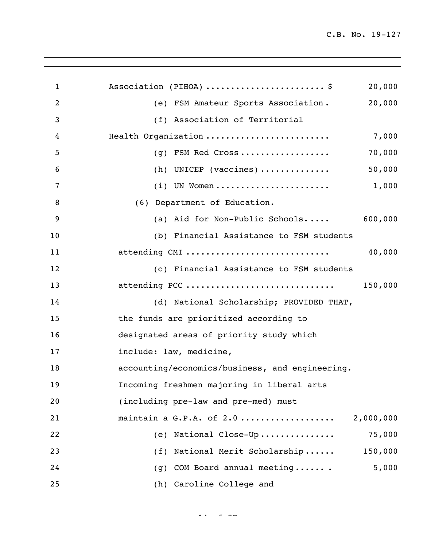| $\mathbf 1$    | Association (PIHOA) \$<br>20,000                |
|----------------|-------------------------------------------------|
| $\overline{2}$ | 20,000<br>(e) FSM Amateur Sports Association.   |
| 3              | (f) Association of Territorial                  |
| 4              | Health Organization<br>7,000                    |
| 5              | 70,000<br>(g) FSM Red Cross                     |
| 6              | 50,000<br>(h) UNICEP (vaccines)                 |
| 7              | 1,000<br>$(i)$ UN Women                         |
| 8              | (6) Department of Education.                    |
| 9              | 600,000<br>(a) Aid for Non-Public Schools       |
| 10             | (b) Financial Assistance to FSM students        |
| 11             | attending CMI<br>40,000                         |
| 12             | (c) Financial Assistance to FSM students        |
| 13             | attending PCC<br>150,000                        |
| 14             | (d) National Scholarship; PROVIDED THAT,        |
| 15             | the funds are prioritized according to          |
| 16             | designated areas of priority study which        |
| 17             | include: law, medicine,                         |
| 18             | accounting/economics/business, and engineering. |
| 19             | Incoming freshmen majoring in liberal arts      |
| 20             | (including pre-law and pre-med) must            |
| 21             | maintain a G.P.A. of 2.0<br>2,000,000           |
| 22             | 75,000<br>(e) National Close-Up                 |
| 23             | (f) National Merit Scholarship<br>150,000       |
| 24             | 5,000<br>COM Board annual meeting<br>(q)        |
| 25             | (h) Caroline College and                        |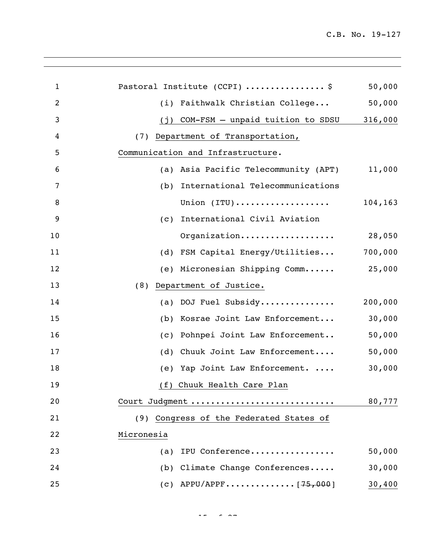| $\mathbf{1}$   | Pastoral Institute (CCPI) \$                               | 50,000  |
|----------------|------------------------------------------------------------|---------|
| $\overline{2}$ | (i) Faithwalk Christian College                            | 50,000  |
| 3              | (j) COM-FSM - unpaid tuition to SDSU                       | 316,000 |
| 4              | (7) Department of Transportation,                          |         |
| 5              | Communication and Infrastructure.                          |         |
| 6              | (a) Asia Pacific Telecommunity (APT)                       | 11,000  |
| 7              | (b) International Telecommunications                       |         |
| 8              | Union $(\texttt{ITU}) \dots \dots \dots \dots \dots \dots$ | 104,163 |
| 9              | (c) International Civil Aviation                           |         |
| 10             | Organization                                               | 28,050  |
| 11             | (d) FSM Capital Energy/Utilities                           | 700,000 |
| 12             | (e) Micronesian Shipping Comm 25,000                       |         |
| 13             | Department of Justice.<br>(8)                              |         |
| 14             | (a) DOJ Fuel Subsidy                                       | 200,000 |
| 15             | (b) Kosrae Joint Law Enforcement                           | 30,000  |
| 16             | (c) Pohnpei Joint Law Enforcement                          | 50,000  |
| 17             | (d) Chuuk Joint Law Enforcement                            | 50,000  |
| 18             | (e) Yap Joint Law Enforcement.                             | 30,000  |
| 19             | (f) Chuuk Health Care Plan                                 |         |
| 20             | Court Judgment                                             | 80,777  |
| 21             | (9) Congress of the Federated States of                    |         |
| 22             | Micronesia                                                 |         |
| 23             | IPU Conference<br>(a)                                      | 50,000  |
| 24             | (b) Climate Change Conferences                             | 30,000  |
| 25             | (c) APPU/APPF [75,000]                                     | 30,400  |
|                |                                                            |         |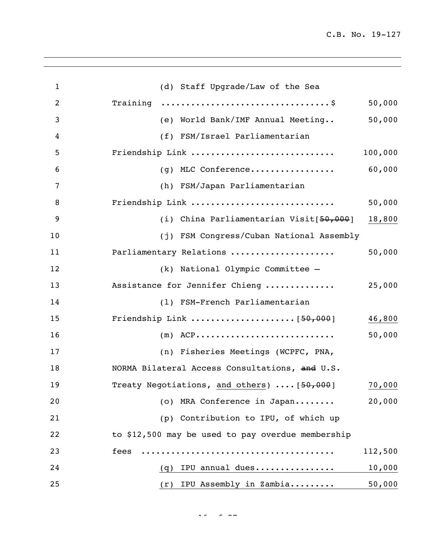| $\mathbf{1}$   | (d) Staff Upgrade/Law of the Sea                                  |
|----------------|-------------------------------------------------------------------|
| $\overline{2}$ | 50,000                                                            |
| 3              | 50,000<br>(e) World Bank/IMF Annual Meeting                       |
| 4              | (f) FSM/Israel Parliamentarian                                    |
| 5              | Friendship Link<br>100,000                                        |
| 6              | 60,000<br>(g) MLC Conference                                      |
| 7              | (h) FSM/Japan Parliamentarian                                     |
| 8              | Friendship Link<br>50,000                                         |
| 9              | (i) China Parliamentarian Visit[50,000]<br>18,800                 |
| 10             | (j) FSM Congress/Cuban National Assembly                          |
| 11             | Parliamentary Relations<br>50,000                                 |
| 12             | (k) National Olympic Committee -                                  |
| 13             | Assistance for Jennifer Chieng<br>25,000                          |
| 14             | (1) FSM-French Parliamentarian                                    |
| 15             | 46,800                                                            |
| 16             | $(m)$ ACP<br>50,000                                               |
| 17             | (n) Fisheries Meetings (WCPFC, PNA,                               |
| 18             | NORMA Bilateral Access Consultations, and U.S.                    |
| 19             | Treaty Negotiations, and others)  [ <del>50,000</del> ]<br>70,000 |
| 20             | 20,000<br>(o) MRA Conference in Japan                             |
| 21             | (p) Contribution to IPU, of which up                              |
| 22             | to \$12,500 may be used to pay overdue membership                 |
| 23             | fees<br>112,500                                                   |
| 24             | 10,000<br>IPU annual dues<br>(q)                                  |
| 25             | 50,000<br>IPU Assembly in Zambia<br>(r)                           |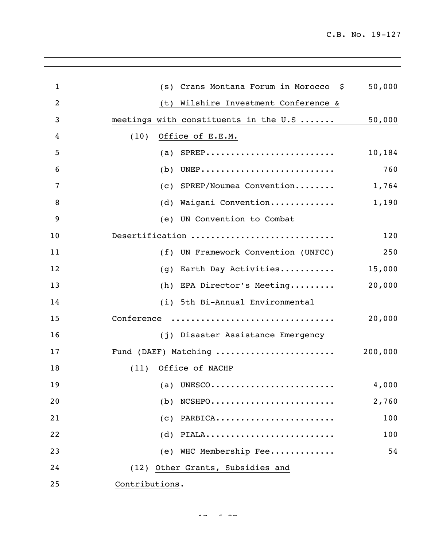| 1              | Crans Montana Forum in Morocco \$<br>(s) | 50,000  |
|----------------|------------------------------------------|---------|
| $\overline{2}$ | (t) Wilshire Investment Conference &     |         |
| 3              | meetings with constituents in the U.S    | 50,000  |
| 4              | (10)<br>Office of E.E.M.                 |         |
| 5              | (a) SPREP                                | 10,184  |
| 6              | $(b)$ UNEP                               | 760     |
| 7              | (c) SPREP/Noumea Convention              | 1,764   |
| 8              | (d) Waigani Convention                   | 1,190   |
| 9              | (e) UN Convention to Combat              |         |
| 10             | Desertification                          | 120     |
| 11             | (f) UN Framework Convention (UNFCC)      | 250     |
| 12             | Earth Day Activities<br>(q)              | 15,000  |
| 13             | (h) EPA Director's Meeting               | 20,000  |
| 14             | (i) 5th Bi-Annual Environmental          |         |
| 15             | Conference                               | 20,000  |
| 16             | (j) Disaster Assistance Emergency        |         |
| 17             | Fund (DAEF) Matching                     | 200,000 |
| 18             | Office of NACHP<br>(11)                  |         |
| 19             | (a) UNESCO                               | 4,000   |
| 20             | (b)<br>NCSHPO                            | 2,760   |
| 21             | $(c)$ PARBICA                            | 100     |
| 22             | $(d)$ PIALA                              | 100     |
| 23             | (e) WHC Membership Fee                   | 54      |
| 24             | (12) Other Grants, Subsidies and         |         |
| 25             | Contributions.                           |         |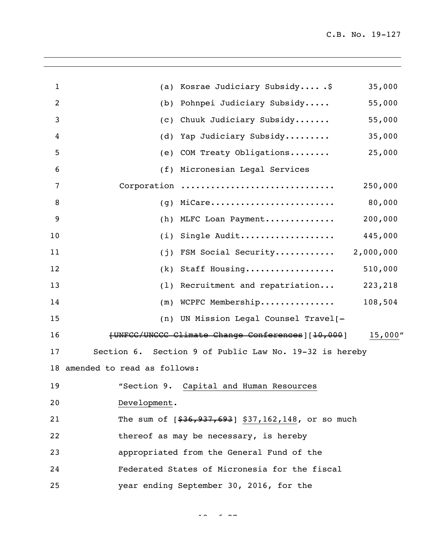| 1              | (a) Kosrae Judiciary Subsidy\$                            | 35,000    |
|----------------|-----------------------------------------------------------|-----------|
| $\overline{2}$ | (b) Pohnpei Judiciary Subsidy                             | 55,000    |
| 3              | (c) Chuuk Judiciary Subsidy                               | 55,000    |
| 4              | (d) Yap Judiciary Subsidy                                 | 35,000    |
| 5              | (e) COM Treaty Obligations                                | 25,000    |
| 6              | (f) Micronesian Legal Services                            |           |
| 7              | Corporation                                               | 250,000   |
| 8              | MiCare<br>(q)                                             | 80,000    |
| 9              | MLFC Loan Payment<br>(h)                                  | 200,000   |
| 10             | Single Audit<br>(i)                                       | 445,000   |
| 11             | FSM Social Security<br>(i)                                | 2,000,000 |
| 12             | (k) Staff Housing                                         | 510,000   |
| 13             | (1) Recruitment and repatriation                          | 223,218   |
| 14             | (m) WCPFC Membership                                      | 108,504   |
| 15             | (n) UN Mission Legal Counsel Travel[-                     |           |
| 16             | [UNFCC/UNCCC Climate Change Conferences] [10,000]         | 15,000''  |
| 17             | Section 9 of Public Law No. 19-32 is hereby<br>Section 6. |           |
|                | 18 amended to read as follows:                            |           |
| 19             | "Section 9. Capital and Human Resources                   |           |
| 20             | Development.                                              |           |
| 21             | The sum of $[$36,937,693]$ \$37,162,148, or so much       |           |
| 22             | thereof as may be necessary, is hereby                    |           |
| 23             | appropriated from the General Fund of the                 |           |
| 24             | Federated States of Micronesia for the fiscal             |           |
| 25             | year ending September 30, 2016, for the                   |           |
|                |                                                           |           |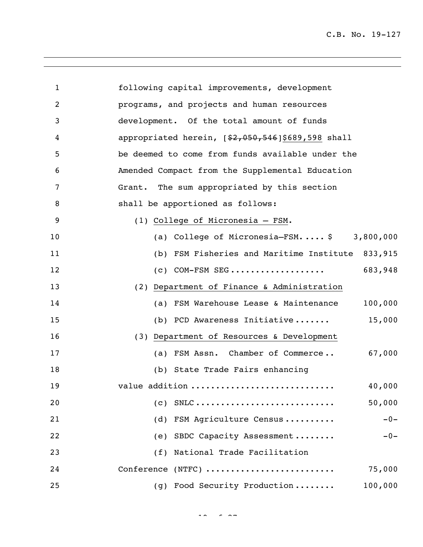| 1              | following capital improvements, development                                                   |
|----------------|-----------------------------------------------------------------------------------------------|
| $\overline{2}$ | programs, and projects and human resources                                                    |
| 3              | development. Of the total amount of funds                                                     |
| 4              | appropriated herein, $[$2,050,546]$ \$689,598 shall                                           |
| 5              | be deemed to come from funds available under the                                              |
| 6              | Amended Compact from the Supplemental Education                                               |
| 7              | Grant. The sum appropriated by this section                                                   |
| 8              | shall be apportioned as follows:                                                              |
| 9              | (1) College of Micronesia - FSM.                                                              |
| 10             | 3,800,000<br>(a) College of Micronesia-FSM \$                                                 |
| 11             | (b) FSM Fisheries and Maritime Institute<br>833,915                                           |
| 12             | 683,948<br>$(c)$ COM-FSM SEG                                                                  |
| 13             | (2) Department of Finance & Administration                                                    |
| 14             | 100,000<br>(a) FSM Warehouse Lease & Maintenance                                              |
| 15             | 15,000<br>(b) PCD Awareness Initiative                                                        |
| 16             | (3) Department of Resources & Development                                                     |
| 17             | 67,000<br>(a) FSM Assn. Chamber of Commerce                                                   |
| 18             | (b) State Trade Fairs enhancing                                                               |
| 19             | 40,000<br>value addition                                                                      |
| 20             | 50,000<br>$\text{SNLC} \ldots \ldots \ldots \ldots \ldots \ldots \ldots \ldots \ldots$<br>(C) |
| 21             | FSM Agriculture Census<br>(d)<br>$-0-$                                                        |
| 22             | SBDC Capacity Assessment<br>$-0-$<br>(e)                                                      |
| 23             | National Trade Facilitation<br>(f)                                                            |
| 24             | Conference (NTFC)<br>75,000                                                                   |
| 25             | (g) Food Security Production<br>100,000                                                       |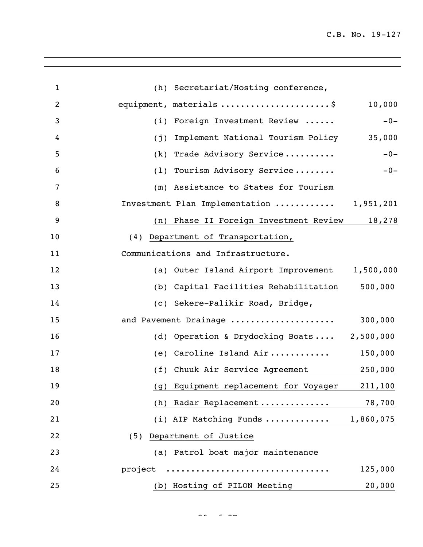| $\mathbf{1}$   | (h) Secretariat/Hosting conference,            |         |
|----------------|------------------------------------------------|---------|
| $\overline{2}$ | equipment, materials \$                        | 10,000  |
| 3              | (i) Foreign Investment Review                  | $-0-$   |
| 4              | Implement National Tourism Policy<br>(j)       | 35,000  |
| 5              | (k) Trade Advisory Service                     | $-0-$   |
| 6              | (1) Tourism Advisory Service                   | $-0-$   |
| $\overline{7}$ | (m) Assistance to States for Tourism           |         |
| 8              | Investment Plan Implementation  1,951,201      |         |
| 9              | (n) Phase II Foreign Investment Review 18,278  |         |
| 10             | (4) Department of Transportation,              |         |
| 11             | Communications and Infrastructure.             |         |
| 12             | (a) Outer Island Airport Improvement 1,500,000 |         |
| 13             | (b) Capital Facilities Rehabilitation          | 500,000 |
| 14             | (c) Sekere-Palikir Road, Bridge,               |         |
| 15             | and Pavement Drainage                          | 300,000 |
| 16             | (d) Operation & Drydocking Boats 2,500,000     |         |
| 17             | (e) Caroline Island Air                        | 150,000 |
| 18             | Chuuk Air Service Agreement<br>(f)             | 250,000 |
| 19             | (g) Equipment replacement for Voyager          | 211,100 |
| 20             | (h) Radar Replacement                          | 78,700  |
| 21             | (i) AIP Matching Funds  1,860,075              |         |
| 22             | (5) Department of Justice                      |         |
| 23             | (a) Patrol boat major maintenance              |         |
| 24             | project                                        | 125,000 |
| 25             | (b) Hosting of PILON Meeting                   | 20,000  |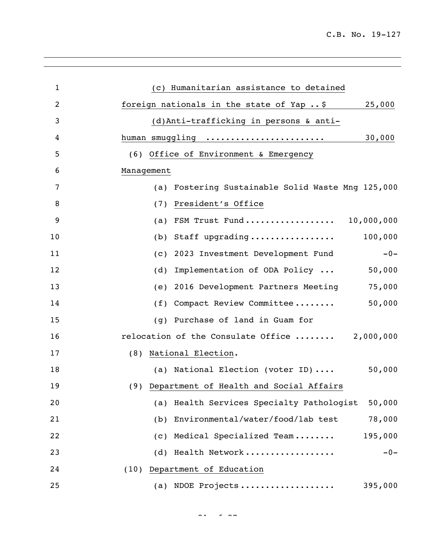| $\mathbf{1}$   | (c) Humanitarian assistance to detained             |
|----------------|-----------------------------------------------------|
| $\overline{2}$ | foreign nationals in the state of Yap  \$<br>25,000 |
| 3              | (d)Anti-trafficking in persons & anti-              |
| 4              | 30,000<br>human smuggling                           |
| 5              | (6) Office of Environment & Emergency               |
| 6              | Management                                          |
| 7              | (a) Fostering Sustainable Solid Waste Mng 125,000   |
| 8              | President's Office<br>(7)                           |
| 9              | FSM Trust Fund 10,000,000<br>(a)                    |
| 10             | 100,000<br>Staff upgrading<br>(b)                   |
| 11             | 2023 Investment Development Fund<br>$-0-$<br>(C)    |
| 12             | Implementation of ODA Policy<br>50,000<br>(d)       |
| 13             | 2016 Development Partners Meeting<br>75,000<br>(e)  |
| 14             | (f) Compact Review Committee<br>50,000              |
| 15             | Purchase of land in Guam for<br>(q)                 |
| 16             | relocation of the Consulate Office  2,000,000       |
| 17             | (8) National Election.                              |
| 18             | 50,000<br>(a) National Election (voter ID)          |
| 19             | (9) Department of Health and Social Affairs         |
| 20             | (a) Health Services Specialty Pathologist<br>50,000 |
| 21             | (b) Environmental/water/food/lab test<br>78,000     |
| 22             | (c) Medical Specialized Team<br>195,000             |
| 23             | (d) Health Network<br>$-0-$                         |
| 24             | (10) Department of Education                        |
| 25             | (a) NDOE Projects<br>395,000                        |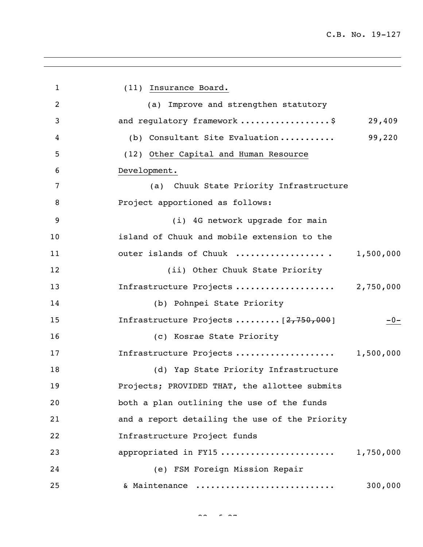1 (11) Insurance Board. (a) Improve and strengthen statutory 3 and requlatory framework ....................\$ 29,409 (b) Consultant Site Evaluation ........... 99,220 (12) Other Capital and Human Resource Development. (a) Chuuk State Priority Infrastructure **Project apportioned as follows:**  (i) 4G network upgrade for main island of Chuuk and mobile extension to the 11 outer islands of Chuuk ........................... 1,500,000 (ii) Other Chuuk State Priority Infrastructure Projects .................... 2,750,000 (b) Pohnpei State Priority 15 Infrastructure Projects .......... [2,750,000] 15 (c) Kosrae State Priority Infrastructure Projects .................... 1,500,000 (d) Yap State Priority Infrastructure Projects; PROVIDED THAT, the allottee submits both a plan outlining the use of the funds and a report detailing the use of the Priority Infrastructure Project funds appropriated in FY15 ....................... 1,750,000 (e) FSM Foreign Mission Repair & Maintenance ............................ 300,000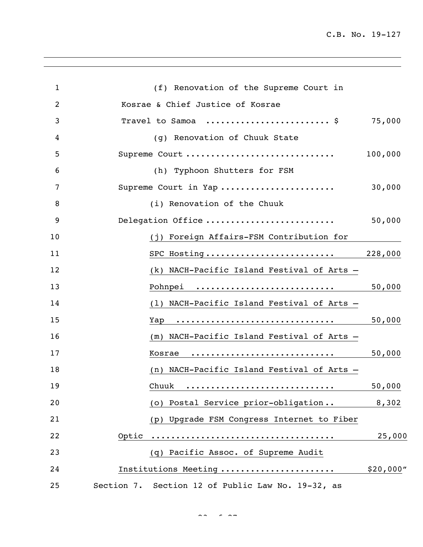| $\mathbf{1}$ | (f) Renovation of the Supreme Court in            |           |
|--------------|---------------------------------------------------|-----------|
| 2            | Kosrae & Chief Justice of Kosrae                  |           |
| 3            | Travel to Samoa  \$                               | 75,000    |
| 4            | (g) Renovation of Chuuk State                     |           |
| 5            | Supreme Court                                     | 100,000   |
| 6            | (h) Typhoon Shutters for FSM                      |           |
| 7            | Supreme Court in Yap                              | 30,000    |
| 8            | (i) Renovation of the Chuuk                       |           |
| 9            | Delegation Office                                 | 50,000    |
| 10           | (j) Foreign Affairs-FSM Contribution for          |           |
| 11           | SPC Hosting                                       | 228,000   |
| 12           | (k) NACH-Pacific Island Festival of Arts -        |           |
| 13           | Pohnpei                                           | 50,000    |
| 14           | (1) NACH-Pacific Island Festival of Arts -        |           |
| 15           | Yap                                               | 50,000    |
| 16           | (m) NACH-Pacific Island Festival of Arts -        |           |
| 17           | Kosrae                                            | 50,000    |
| 18           | (n) NACH-Pacific Island Festival of Arts -        |           |
| 19           | Chuuk <u></u>                                     | 50,000    |
| 20           | (o) Postal Service prior-obligation               | 8,302     |
| 21           | (p) Upgrade FSM Congress Internet to Fiber        |           |
| 22           |                                                   | 25,000    |
| 23           | (q) Pacific Assoc. of Supreme Audit               |           |
| 24           | Institutions Meeting                              | \$20,000" |
| 25           | Section 7. Section 12 of Public Law No. 19-32, as |           |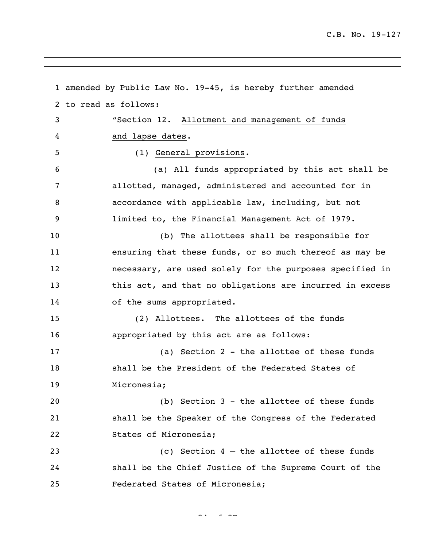```
1 amended by Public Law No. 19-45, is hereby further amended 
2 to read as follows:
3 "Section 12. Allotment and management of funds 
4 and lapse dates.
5 (1) General provisions.
6 (a) All funds appropriated by this act shall be 
7 allotted, managed, administered and accounted for in 
8 accordance with applicable law, including, but not 
9 limited to, the Financial Management Act of 1979.
10 (b) The allottees shall be responsible for 
11 ensuring that these funds, or so much thereof as may be 
12 necessary, are used solely for the purposes specified in 
13 this act, and that no obligations are incurred in excess 
14 of the sums appropriated.
15 (2) Allottees. The allottees of the funds 
16 appropriated by this act are as follows:
17 (a) Section 2 - the allottee of these funds 
18 shall be the President of the Federated States of 
19 Micronesia;
20 (b) Section 3 - the allottee of these funds 
21 shall be the Speaker of the Congress of the Federated 
22 States of Micronesia;
23 (c) Section 4 – the allottee of these funds 
24 shall be the Chief Justice of the Supreme Court of the
25 Federated States of Micronesia;
```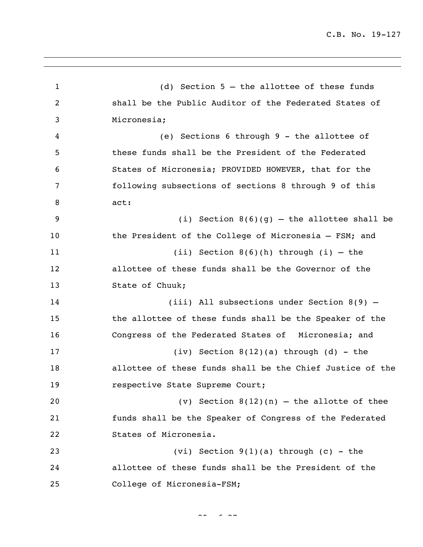(d) Section 5 – the allottee of these funds shall be the Public Auditor of the Federated States of Micronesia; (e) Sections 6 through 9 - the allottee of these funds shall be the President of the Federated States of Micronesia; PROVIDED HOWEVER, that for the following subsections of sections 8 through 9 of this act: (i) Section 8(6)(g) – the allottee shall be 10 the President of the College of Micronesia - FSM; and (ii) Section 8(6)(h) through (i) – the allottee of these funds shall be the Governor of the 13 State of Chuuk; (iii) All subsections under Section 8(9) – the allottee of these funds shall be the Speaker of the Congress of the Federated States of Micronesia; and (iv) Section 8(12)(a) through (d) - the allottee of these funds shall be the Chief Justice of the respective State Supreme Court; (v) Section 8(12)(n) – the allotte of thee funds shall be the Speaker of Congress of the Federated States of Micronesia. (vi) Section 9(1)(a) through (c) - the allottee of these funds shall be the President of the College of Micronesia-FSM;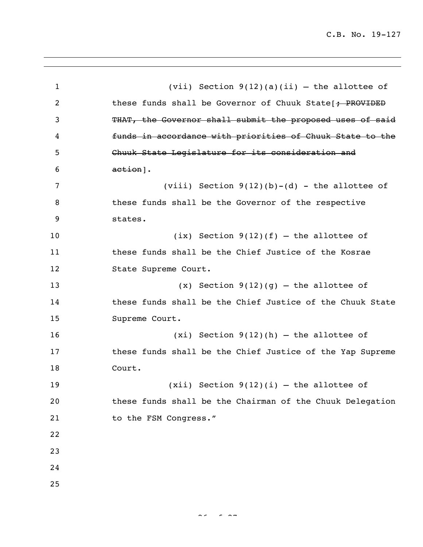| $\mathbf{1}$ | (vii) Section $9(12)(a)(ii)$ - the allottee of            |
|--------------|-----------------------------------------------------------|
| 2            | these funds shall be Governor of Chuuk State [ + PROVIDED |
| 3            | THAT, the Governor shall submit the proposed uses of said |
| 4            | funds in accordance with priorities of Chuuk State to the |
| 5            | Chuuk State Legislature for its consideration and         |
| 6            | $a$ ction].                                               |
| 7            | (viii) Section $9(12)(b)-(d)$ - the allottee of           |
| 8            | these funds shall be the Governor of the respective       |
| 9            | states.                                                   |
| 10           | $(ix)$ Section $9(12)(f)$ - the allottee of               |
| 11           | these funds shall be the Chief Justice of the Kosrae      |
| 12           | State Supreme Court.                                      |
| 13           | $(x)$ Section 9(12)(g) – the allottee of                  |
| 14           | these funds shall be the Chief Justice of the Chuuk State |
| 15           | Supreme Court.                                            |
| 16           | $(xi)$ Section 9(12)(h) - the allottee of                 |
| 17           | these funds shall be the Chief Justice of the Yap Supreme |
| 18           | Court.                                                    |
| 19           | $(xii)$ Section $9(12)(i)$ - the allottee of              |
| 20           | these funds shall be the Chairman of the Chuuk Delegation |
| 21           | to the FSM Congress."                                     |
| 22           |                                                           |
| 23           |                                                           |
| 24           |                                                           |
| 25           |                                                           |
|              |                                                           |